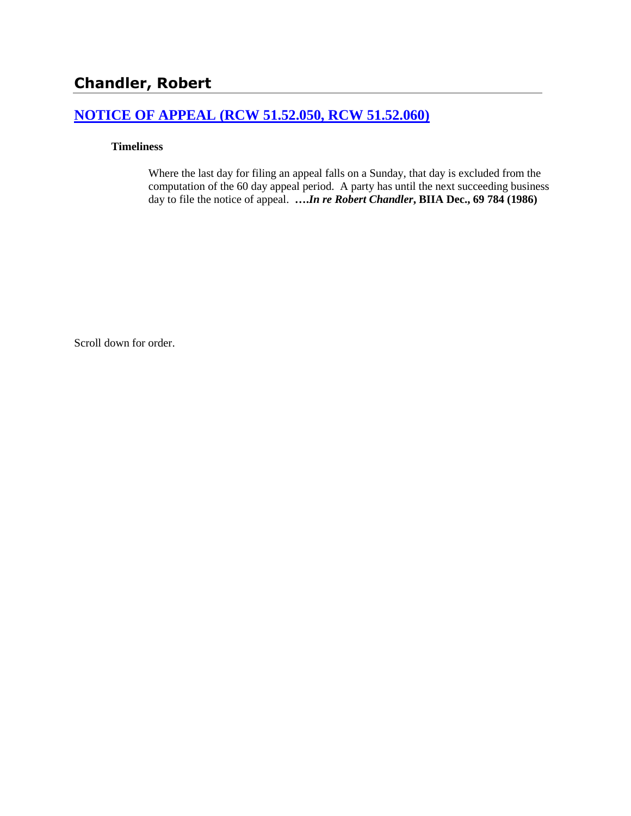## **[NOTICE OF APPEAL \(RCW 51.52.050, RCW 51.52.060\)](http://www.biia.wa.gov/SDSubjectIndex.html#NOTICE_OF_APPEAL)**

### **Timeliness**

Where the last day for filing an appeal falls on a Sunday, that day is excluded from the computation of the 60 day appeal period. A party has until the next succeeding business day to file the notice of appeal. **….***In re Robert Chandler***, BIIA Dec., 69 784 (1986)** 

Scroll down for order.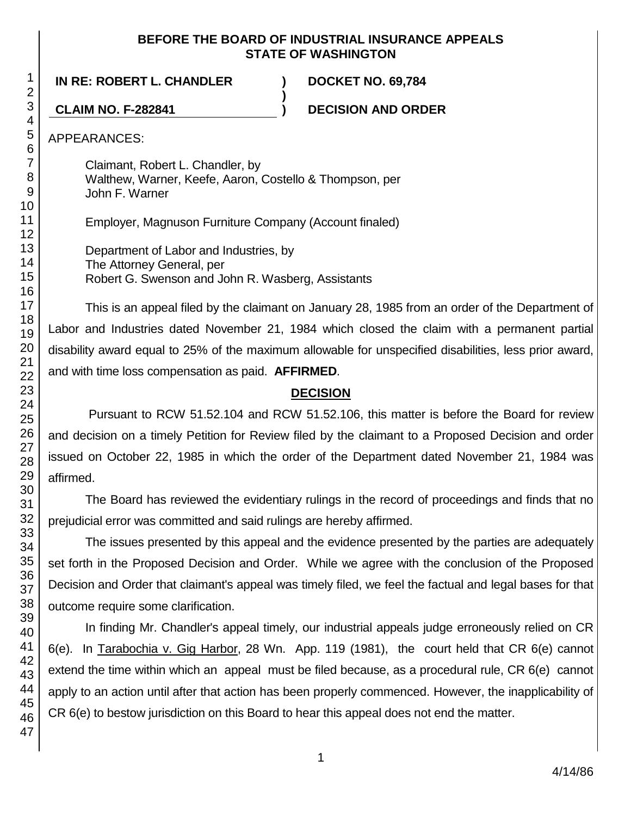### **BEFORE THE BOARD OF INDUSTRIAL INSURANCE APPEALS STATE OF WASHINGTON**

**)**

**IN RE: ROBERT L. CHANDLER ) DOCKET NO. 69,784**

**CLAIM NO. F-282841 ) DECISION AND ORDER**

APPEARANCES:

Claimant, Robert L. Chandler, by Walthew, Warner, Keefe, Aaron, Costello & Thompson, per John F. Warner

Employer, Magnuson Furniture Company (Account finaled)

Department of Labor and Industries, by The Attorney General, per Robert G. Swenson and John R. Wasberg, Assistants

This is an appeal filed by the claimant on January 28, 1985 from an order of the Department of Labor and Industries dated November 21, 1984 which closed the claim with a permanent partial disability award equal to 25% of the maximum allowable for unspecified disabilities, less prior award, and with time loss compensation as paid. **AFFIRMED**.

# **DECISION**

Pursuant to RCW 51.52.104 and RCW 51.52.106, this matter is before the Board for review and decision on a timely Petition for Review filed by the claimant to a Proposed Decision and order issued on October 22, 1985 in which the order of the Department dated November 21, 1984 was affirmed.

The Board has reviewed the evidentiary rulings in the record of proceedings and finds that no prejudicial error was committed and said rulings are hereby affirmed.

The issues presented by this appeal and the evidence presented by the parties are adequately set forth in the Proposed Decision and Order. While we agree with the conclusion of the Proposed Decision and Order that claimant's appeal was timely filed, we feel the factual and legal bases for that outcome require some clarification.

In finding Mr. Chandler's appeal timely, our industrial appeals judge erroneously relied on CR 6(e). In Tarabochia v. Gig Harbor, 28 Wn. App. 119 (1981), the court held that CR 6(e) cannot extend the time within which an appeal must be filed because, as a procedural rule, CR 6(e) cannot apply to an action until after that action has been properly commenced. However, the inapplicability of CR 6(e) to bestow jurisdiction on this Board to hear this appeal does not end the matter.

1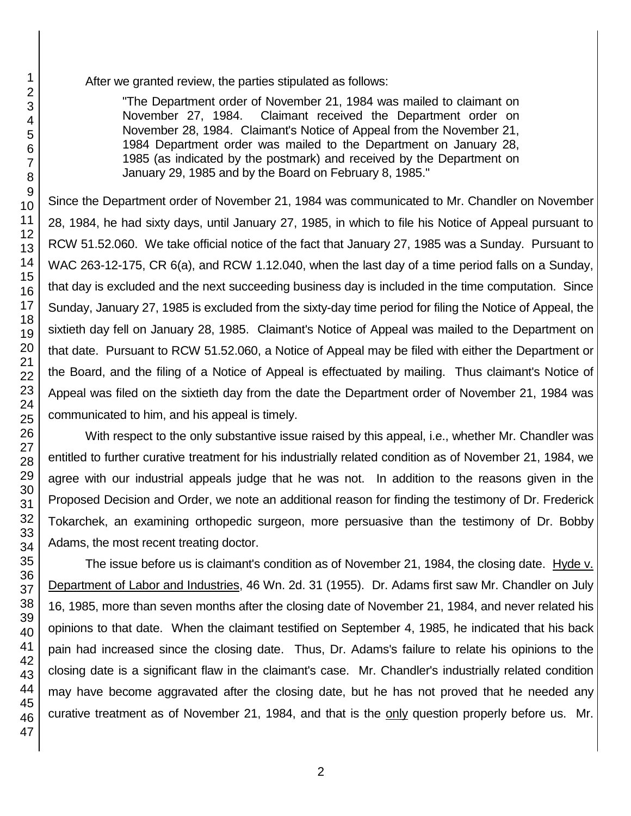After we granted review, the parties stipulated as follows:

"The Department order of November 21, 1984 was mailed to claimant on November 27, 1984. Claimant received the Department order on November 28, 1984. Claimant's Notice of Appeal from the November 21, 1984 Department order was mailed to the Department on January 28, 1985 (as indicated by the postmark) and received by the Department on January 29, 1985 and by the Board on February 8, 1985."

Since the Department order of November 21, 1984 was communicated to Mr. Chandler on November 28, 1984, he had sixty days, until January 27, 1985, in which to file his Notice of Appeal pursuant to RCW 51.52.060. We take official notice of the fact that January 27, 1985 was a Sunday. Pursuant to WAC 263-12-175, CR 6(a), and RCW 1.12.040, when the last day of a time period falls on a Sunday, that day is excluded and the next succeeding business day is included in the time computation. Since Sunday, January 27, 1985 is excluded from the sixty-day time period for filing the Notice of Appeal, the sixtieth day fell on January 28, 1985. Claimant's Notice of Appeal was mailed to the Department on that date. Pursuant to RCW 51.52.060, a Notice of Appeal may be filed with either the Department or the Board, and the filing of a Notice of Appeal is effectuated by mailing. Thus claimant's Notice of Appeal was filed on the sixtieth day from the date the Department order of November 21, 1984 was communicated to him, and his appeal is timely.

With respect to the only substantive issue raised by this appeal, i.e., whether Mr. Chandler was entitled to further curative treatment for his industrially related condition as of November 21, 1984, we agree with our industrial appeals judge that he was not. In addition to the reasons given in the Proposed Decision and Order, we note an additional reason for finding the testimony of Dr. Frederick Tokarchek, an examining orthopedic surgeon, more persuasive than the testimony of Dr. Bobby Adams, the most recent treating doctor.

The issue before us is claimant's condition as of November 21, 1984, the closing date. Hyde v. Department of Labor and Industries, 46 Wn. 2d. 31 (1955). Dr. Adams first saw Mr. Chandler on July 16, 1985, more than seven months after the closing date of November 21, 1984, and never related his opinions to that date. When the claimant testified on September 4, 1985, he indicated that his back pain had increased since the closing date. Thus, Dr. Adams's failure to relate his opinions to the closing date is a significant flaw in the claimant's case. Mr. Chandler's industrially related condition may have become aggravated after the closing date, but he has not proved that he needed any curative treatment as of November 21, 1984, and that is the only question properly before us. Mr.

1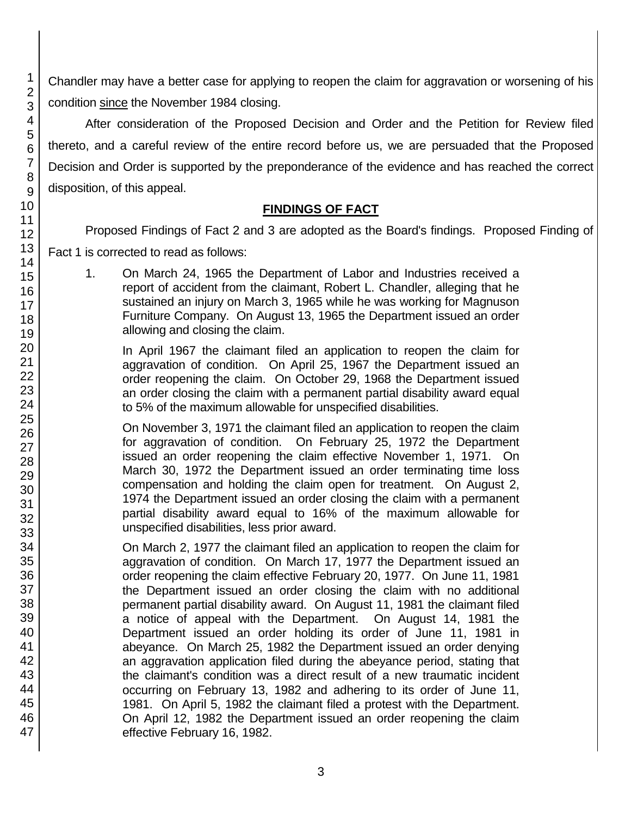Chandler may have a better case for applying to reopen the claim for aggravation or worsening of his condition since the November 1984 closing.

After consideration of the Proposed Decision and Order and the Petition for Review filed thereto, and a careful review of the entire record before us, we are persuaded that the Proposed Decision and Order is supported by the preponderance of the evidence and has reached the correct disposition, of this appeal.

# **FINDINGS OF FACT**

Proposed Findings of Fact 2 and 3 are adopted as the Board's findings. Proposed Finding of

Fact 1 is corrected to read as follows:

1. On March 24, 1965 the Department of Labor and Industries received a report of accident from the claimant, Robert L. Chandler, alleging that he sustained an injury on March 3, 1965 while he was working for Magnuson Furniture Company. On August 13, 1965 the Department issued an order allowing and closing the claim.

In April 1967 the claimant filed an application to reopen the claim for aggravation of condition. On April 25, 1967 the Department issued an order reopening the claim. On October 29, 1968 the Department issued an order closing the claim with a permanent partial disability award equal to 5% of the maximum allowable for unspecified disabilities.

On November 3, 1971 the claimant filed an application to reopen the claim for aggravation of condition. On February 25, 1972 the Department issued an order reopening the claim effective November 1, 1971. On March 30, 1972 the Department issued an order terminating time loss compensation and holding the claim open for treatment. On August 2, 1974 the Department issued an order closing the claim with a permanent partial disability award equal to 16% of the maximum allowable for unspecified disabilities, less prior award.

On March 2, 1977 the claimant filed an application to reopen the claim for aggravation of condition. On March 17, 1977 the Department issued an order reopening the claim effective February 20, 1977. On June 11, 1981 the Department issued an order closing the claim with no additional permanent partial disability award. On August 11, 1981 the claimant filed a notice of appeal with the Department. On August 14, 1981 the Department issued an order holding its order of June 11, 1981 in abeyance. On March 25, 1982 the Department issued an order denying an aggravation application filed during the abeyance period, stating that the claimant's condition was a direct result of a new traumatic incident occurring on February 13, 1982 and adhering to its order of June 11, 1981. On April 5, 1982 the claimant filed a protest with the Department. On April 12, 1982 the Department issued an order reopening the claim effective February 16, 1982.